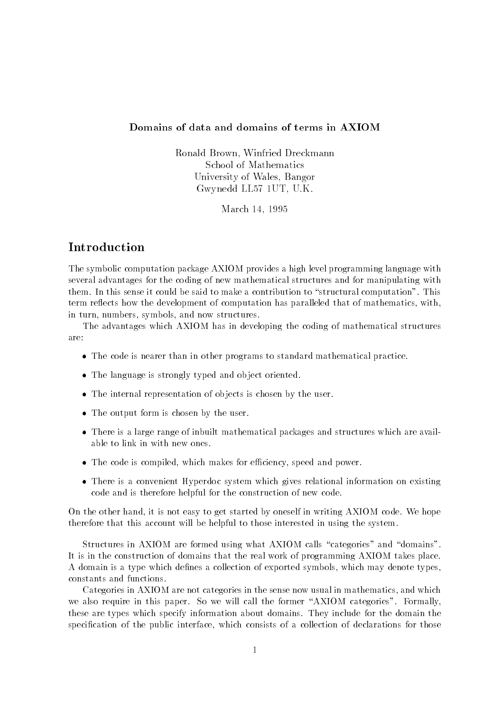### Domains of data and domains of terms in AXIOM

Ronald Brown- Winfried DreckmannSchool of MathematicsUniversity of Wales- BangorVIW VIRAU LILIOT I VII - VIIV.

March -

# Introduction

The symbolic computation package AXIOM provides a high level programming language with several advantages for the coding of new mathematical structures and for manipulating with the could be sense it could be said to make a contribution to structural computation- to structural computationterm reflects how the development of computation has paralleled that of mathematics, with, in turn, numbers, symbols, and now structures.

The advantages which AXIOM has in developing the coding of mathematical structures are

- The code is nearer than in other programs to standard mathematical practice-
- The language is strongly typed and ob ject oriented-
- The internal representation of ob jects is chosen by the user-
- The output form is chosen by the user-
- There is a large range of inbuilt mathematical packages and structures which are avail able to link in with new ones.
- The code is completed which makes for each contract  $\alpha$  , and power-power-
- There is a convenient Hyperdoc system which gives relational information on existing code and is therefore helpful for the construction of new code-

 $\blacksquare$  . The other hand it is not easy to get started by ones extend by ones extend in writing  $\blacksquare$ therefore that this account will be helpful to those interested in using the system-

Structures in AXIOM are formed using what AXIOM calls "categories" and "domains". It is in the construction of domains that the real work of programming AXIOM takes place-A domain is a type which de nes a collection of exported symbols which may denote types constants and functions-

Categories in AXIOM are not categories in the sense now usual in mathematics and which we also require in this paper-box requires-the formally called the formally call the formally call the formally these are types which specify informations about domains- with a only include for the domainsspeci cation of the public interface which consists of a collection of declarations for those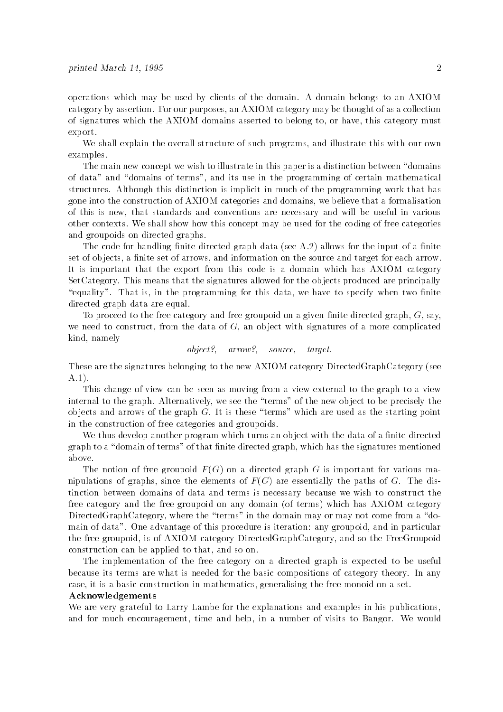operations which may be used by clients of the domain- A domain belongs to an AXIOM category by assertion- For our purpose, an International matrix  $\alpha$  and  $\alpha$  category may be the second collection of signatures which the AXIOM domains asserted to belong to, or have, this category must export-

We shall explain the overall structure of such programs, and illustrate this with our own examples.

The main new concept we wish to illustrate in this paper is a distinction between "domains" of data" and "domains of terms", and its use in the programming of certain mathematical structures- although this distinction is implicit. In much structure programming work that has gone into the construction of AXIOM categories and domains we believe that a formalisation of this is new that standards and conventions are necessary and will be useful in various others contexts- we show this concept may be used for the coding for the coding of the coding the coding of th and groupoids on directed graphs.

The code for handling nite directed graph data 
see A- allows for the input of a nite set of objects, a dimension of arrows and information on the source and the source and target for each arrow-It is important that the export from this code is a domain which has AXIOM category SetCategory- This means that the signatures allowed for the ob jects produced are principally equality-to-construction is the programming for the motor we have to specify when two models directed graph data are equal.

To proceed to the free category and free groupoid on a given nite directed graph G say we need to construct, from the data of  $G$ , an object with signatures of a more complicated kind, namely

object-- arrow-- source- target

These are the signatures belonging to the new AXIOM category DirectedGraphCategory (see ----

This change of view can be seen as moving from a view external to the graph to a view internal to the graph- Alternatively we see the terms of the new ob ject to be precisely the ob jects and arrows of the graph G- It is these terms which are used as the starting point in the construction of free categories and groupoids-

We thus develop another program which turns an ob ject with the data of a nite directed graph to a dominic of terms of the signature method graph which has the signature mentioned and above.

The notion of free groupoid  $F(G)$  on a directed graph G is important for various manipulations of graphs since the elements of F (G) are extended the paths of G-C-C-C-C-C-C-C-C-C-C-C-C-C-C-C-Ctinction between domains of data and terms is necessary because we wish to construct the free category and the free groupoid on any domain (of terms) which has AXIOM category DirectedGraphCategory, where the "terms" in the domain may or may not come from a "domain of data-of the data-distribution is in the procedure is first directed any group and in particular and in the free groupoid is of AXIOM category DirectedGraphCategory and so the FreeGroupoid construction can be applied to that, and so on.

The implementation of the free category on a directed graph is expected to be useful because its terms are what is needed for the basic compositions of category theory- In any case, it is a basic construction in mathematics, generalising the free monoid on a set.

### Acknowledgements

We are very grateful to Larry Lambe for the explanations and examples in his publications and for much encouragement time and help in a number of visits to Bangor- We would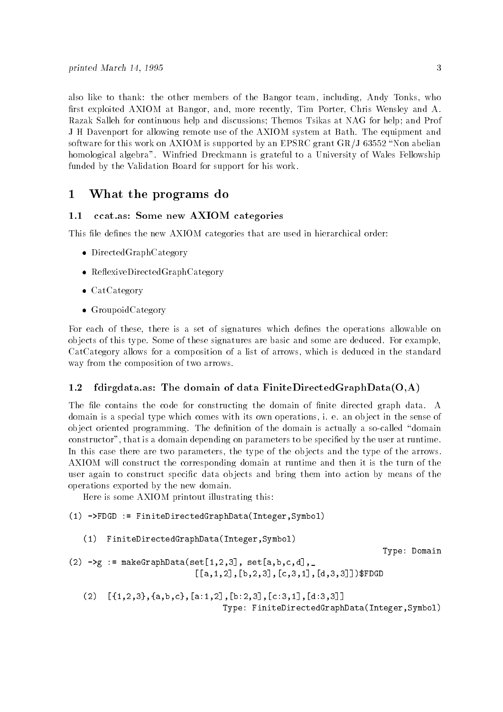also like to thank: the other members of the Bangor team, including, Andy Tonks, who rst exploited AXIOM at Bangor and more recently Tim Porter Chris Wensley and A-Razak Salleh for continuous help and discussions; Themos Tsikas at NAG for help; and Prof J H Davenport for allowing remote use of the AXIOM system at Bath- The equipment and software for this work on  $AXIOM$  is supported by an EPSRC grant  $GR/J$  63552 "Non abelian homological algebra- Winfried Dreckmann is grateful to a University of Wales Fellowship funded by the Validation Board for support for his work-

#### $\mathbf{1}$ What the programs do

### ccat.as: Some new AXIOM categories

This le de nes the new AXIOM categories that are used in hierarchical order

- DirectedGraphCategory
- Reference Directed Graph Category (Category )
- . Catcategory
- Group of the Category of the Category of the Category of the Category of the Category of the Category of the C

For each of the operations which define  $\mathbf{f}$  and  $\mathbf{f}$ ob jects of this type- Some of these signatures are basic and some are deduced- For example CatCategory allows for a composition of a list of arrows which is deduced in the standard way from the composition of two arrows.

#### 1.2 fdirgdata.as: The domain of data FiniteDirectedGraphData $(O,A)$

 $\mathbf{M}$  is dominant data-domain of  $\mathbf{M}$  is dominant data-domain of  $\mathbf{M}$  is dominant data-domain data-domain data-domain data-domain data-domain data-domain data-domain data-domain data-domain data-domain data-dom domain is a special type which comes with its own operations i- e- an ob ject in the sense of ob ject oriented programming- was demonstrated as and domain is actually a social company described constructor that is a domain depending on parameters to be specific to be specific to be specific In this case there are two parameters, the type of the objects and the type of the arrows. AXIOM will construct the corresponding domain at runtime and then it is the turn of the user again to construct speci c data ob jects and bring them into action by means of the operations exported by the new domain-

Here is some AXIOM printout illustrating this

```
-
 FDGD  FiniteDirectedGraphDataIntegerSymbol
```

```
(1)FiniteDirectedGraphData(Integer,Symbol)
```
Type: Domain

was and the communication of the communication of the communication of the communication of the communication of the communication of the communication of the communication of the communication of the communication of the a-  b  c- dFDGD

 - abc a-  b  c- d Type: FiniteDirectedGraphData(Integer, Symbol)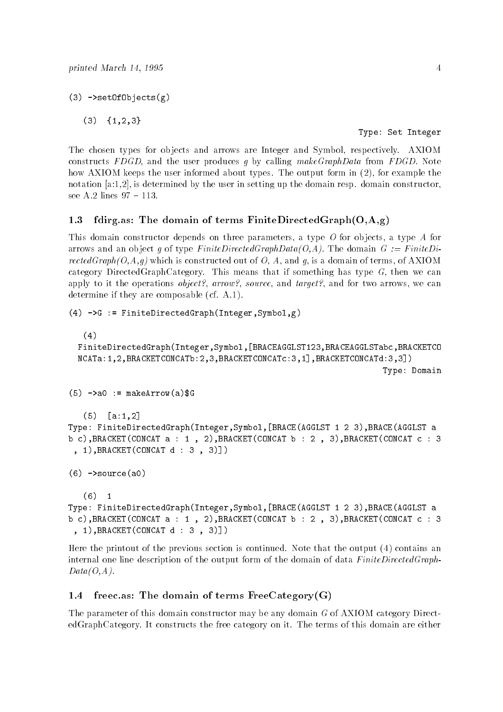$(3)$  ->setOfObjects $(g)$ 

 $(3)$  $\{1, 2, 3\}$ 

Type: Set Integer

The chosen types for ob jects and arrows are Integer and Symbol respectively- AXIOM constructs FDGD and the user produces g by calling makeGraphData from FDGD- Note how AXIOM keeps the user informed about types- The output form in 
 for example the notation a is determined by the user in setting up the domain resp- domain constructor

#### 1.3 fdirg.as: The domain of terms FiniteDirectedGraph $(O,A,g)$

This domain constructor depends on three parameters, a type  $O$  for objects, a type  $A$  for arrows and and provide type FiniteDirected Computer and provide Medicine Graph Graph Graph Graph Graph rectedGraph $(O, A, g)$  which is constructed out of O, A, and g, is a domain of terms, of AXIOM category DirectedGraphCategory- This means that if something has type G then we can appe, it to its operations of procedure and target-the component were the source we can be a determine if they are composed to the composed of the second they are composed to the composed of the composed of the composed of the composed of the composed of the composed of the composed of the composed of the composed

```
(4) ->G := FiniteDirectedGraph(Integer, Symbol, g)
    (4)FiniteDirectedGraphIntegerSymbol
BRACEAGGLST-
	BRACEAGGLSTabcBRACKETCO
   ncata barang di barang di barang di barang di barang di barang di barang di barang di barang di barang di bara
                                                                                           Type: Domain
(5) ->aO := makeArrow(a)$G
    (5)a-maria de la contradición de la contradición de la contradición de la contradición de la contradición de la c
Type FiniteDirectedGraphIntegerSymbols - \mathbf{B}b career concatenation and a series of the concentration of the concentration of the concentration of the concentration of the concentration of the concentration of the concentration of the concentration of the concentrati
  -
BRACKETCONCAT d    
(6) ->source(a0)(6)\overline{\phantom{0}} 1
     -
Type FiniteDirectedGraphIntegerSymbols - \mathbf{B}
```

```
Here the printout of the previous section is continued-
 Note that the output 
 contains an
internal one line description of the output form of the domain of data FiniteDirectedGraph
```
 $\alpha$  , a define the concatence of  $\alpha$  , and  $\beta$  are defined as a set of  $\alpha$  . In the conceptual conceptual conceptual conceptual conceptual conceptual conceptual conceptual conceptual conceptual conceptual conceptual c

### freec.as: The domain of terms  $FreeCategory(G)$

-BRACKETCONCAT d 

 $Data(O, A)$ .

The parameter of this domain constructor may be any domain G of AXIOM category Direct edgraphs the free category of the free category on the free category on the terms of the terms of the terms of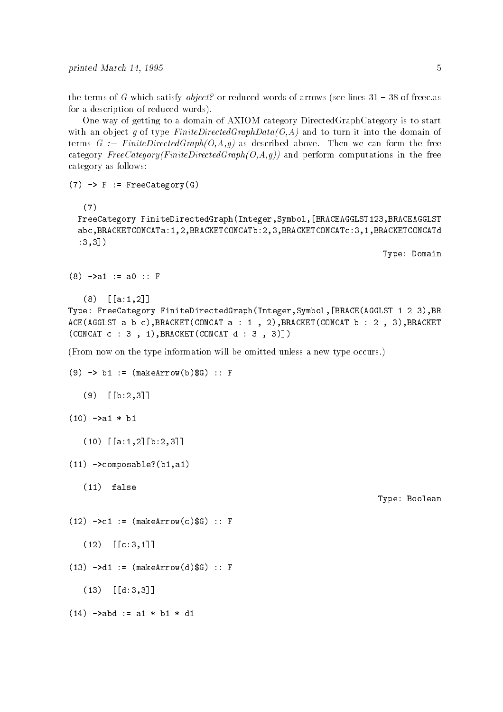the terms of G which satisfy object-satisfy object-satisfy object-satisfy object-satisfy  $\mathcal{L}$ for a description of reduced words).

One way of getting to a domain of AXIOM category DirectedGraphCategory is to start with an object g of type FiniteDirectedGraphData( $O$ , A) and to turn it into the domain of terms G FiniteDirected above  $\{r, r, s\}$  , we can form the form the form the form the form the form category  $FreeCategory(FiniteDirectedGraph(O,A,q))$  and perform computations in the free category as follows

 $(7)$  -> F := FreeCategory(G)

```
(7)
```
FreeCategory FiniteDirectedGraphIntegerSymbol BRACEAGGLST- BRACEAGGLST abca-bracketconcatettu istoricum and the proposition of the proposition of the proposition of the proposition  $:3,3]$ )

Type: Domain

```
\blacksquare . The following the following the following the following the following the following the following the following the following the following the following the following the following the following the following th
```

```
 

a-
```

```
Type FreeCategory FiniteDirectedGraphIntegerSymbol
BRACEAGGLST -
 	 BR
ACEAGGLST a b cBRACKETCONCAT a  -
  	BRACKETCONCAT b  	  BRACKET
CONCAT c    -
BRACKETCONCAT d
```
From now on the type information will be omitted unless a new type occurs-

```
\mathcal{L} , and \mathcal{L} are the function of \mathcal{L} , and \mathcal{L} arrows the function of \mathcal{L}
```
 $\lambda = -$  , and  $\lambda = -$  . The contract of  $\lambda = 0$ 

 $\mathbf{1}$  and  $\mathbf{1}$  and  $\mathbf{1}$  and  $\mathbf{1}$  and  $\mathbf{1}$  and  $\mathbf{1}$  and  $\mathbf{1}$  and  $\mathbf{1}$  and  $\mathbf{1}$  and  $\mathbf{1}$  and  $\mathbf{1}$  and  $\mathbf{1}$  and  $\mathbf{1}$  and  $\mathbf{1}$  and  $\mathbf{1}$  and  $\mathbf{1}$  and  $\mathbf{1}$  and

d

- abd a- b- d-

```
(9)\bullet below the set of the set of the set of the set of the set of the set of the set of the set of the set of the set of the set of the set of the set of the set of the set of the set of the set of the set of the set of t
```

```
\blacksquare
```
- a-  b 

```
-
-
 composableb-
a-
```
\_\_\_\_\_\_\_\_\_\_\_\_\_

```
(11) false
-
   false
```
-

 $(12)$ 

----

Type: Boolean

 $\overline{5}$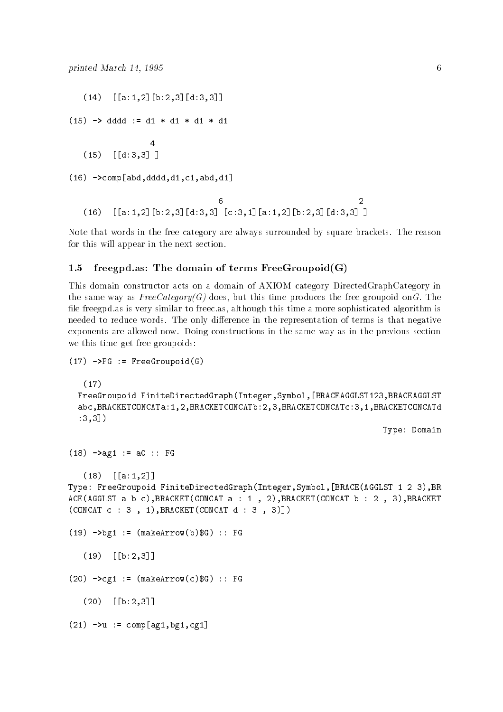a-  b  d - dddd d- d- d- d- $\overline{4}$  $(15)$  d  -c-abdd-c-abdd-c-abdd-c-abdd-c-abdd-c-abdd-c-abdd-c-abdd-c-abdd-c-abdd-c-abdd-c-abdd-c-abdd-c-abdd-c-abdd-c-abdd-c-abdd-c-abdd-c-abdd-c-abdd-c-abdd-c-abdd-c-abdd-c-abdd-c-abdd-c-abdd-c-abdd-c-abdd-c-abdd-c-abdd-c-abdd-c-ab 6  $\mathcal{L}$  $(16)$ a-  b  d c- a-  b  d 

Note that words in the free category are always surrounded by square brackets- The reason for this will appear in the next section.

#### 1.5 freegpd.as: The domain of terms FreeGroupoid $(G)$

This domain constructor acts on a domain of AXIOM category DirectedGraphCategory in the same way as FreeCategoryG does but this time produces the free groupoid onG- The le freegpd-as is very similar to freec-as although this time a more sophisticated algorithm is neede to reduce words-to-representation of the only diependent of terms is that negative in the representation exponents are allowed now- Doing constructions in the same way as in the previous section we this time get free groupoids

```
-
 FG  FreeGroupoidG
```

```
-
```
FreeGroupoid FiniteDirectedGraphIntegerSymbol BRACEAGGLST- BRACEAGGLST abca-bracketconcatettu istoricum and the proposition of the proposition of the proposition of the proposition  $:3,3]$ )

Type: Domain

```
-
 ag-
  a  FG
```

```
----

a-
```
Type FreeGroupoid FiniteDirectedGraphIntegerSymbols -  $\mathbf{B}$ ACEAGGLST a b cBRACKETCONCAT a - BRACKETCONCAT b BRACKET  $\blacksquare$ 

-bearrow-beam and the second second second second second second second second second second second second second second second second second second second second second second second second second second second second seco

 $(19)$ b 

 $\mathbf{r}$  and  $\mathbf{r}$  and  $\mathbf{r}$  and  $\mathbf{r}$  and  $\mathbf{r}$  and  $\mathbf{r}$  and  $\mathbf{r}$  and  $\mathbf{r}$  and  $\mathbf{r}$  and  $\mathbf{r}$  and  $\mathbf{r}$  and  $\mathbf{r}$  and  $\mathbf{r}$  and  $\mathbf{r}$  and  $\mathbf{r}$  and  $\mathbf{r}$  and  $\mathbf{r}$  and

 $(20)$ b 

 - u comp ag-bg-cg-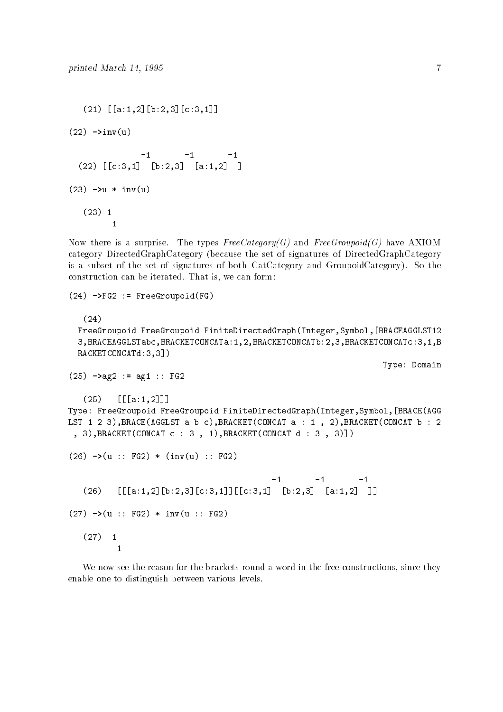```
	-

a-
	
b	
c-

(22) \rightarrow inv(u)-1-1		 

c-
 
b	 
a-
	 
(23) ->u * inv(u)
  (23) 1
        \mathbf{1}
```
Now there is a surprise- The types FreeCategoryG and FreeGroupoidG have AXIOM category DirectedGraphCategory 
because the set of signatures of DirectedGraphCategory is a subset of the set of signatures of both CatCategory and GroupoidCategory- So the construction can be interested-with interested-with interested-with interested-with interested-with interested-

```
(24) ->FG2 := FreeGroupoid(FG)
   (24)FreeGroupoid FreeGroupoid FiniteDirectedGraphIntegerSymbol
BRACEAGGLST-

  BRACEAGGLSTabcBRACKETCONCATa-
	BRACKETCONCATb	BRACKETCONCATc-
B
  RACKETCONCATd:3,3])
                                                                              Type: Domain
again again agus an t-aise agus an t-aise agus an t-aise agus agus an t-aise agus an t-aise agus an t-aise agus an t-aise agus an t-aise agus an t-aise agus an t-aise agus an t-aise agus an t-aise agus an t-aise agus an t
   (25)

a-
	
Type FreeGroupoid FreeGroupoid FiniteDirectedGraphIntegerSymbol
BRACEAGG
LST -
 	 BRACEAGGLST a b cBRACKETCONCAT a  -
  	BRACKETCONCAT b  	
  BRACKETCONCAT c    -
BRACKETCONCAT d    
(26) ->(u : FG2) * (inv(u) : FG2)-1-1-1(26)

a-
	
b	
c-


c-
 
b	 
a-
	 
(27) ->(u : FG2) * inv(u : FG2)(27)\overline{1}\overline{1}
```
We now see the reason for the brackets round a word in the free constructions, since they enable one to distinguish between various levels-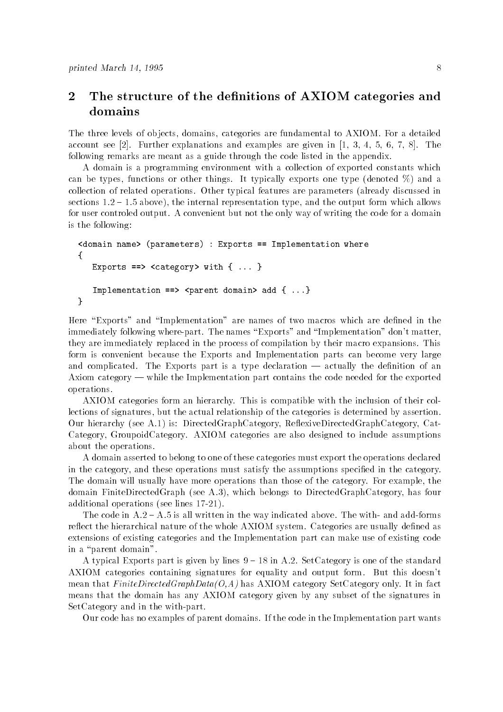# 2 The structure of the definitions of AXIOM categories and domains

The three levels of ob jects domains categories are fundamental to AXIOM- For a detailed account see - Further explanations and examples are given in - The following remarks are meant as a guide through the code listed in the appendix-

A domain is a programming environment with a collection of exported constants which can be typical cannot at things-things-things-things-things-things-things-type (which for function  $\alpha$ collection of related operations- Other typical features are parameters 
already discussed in sections and internal representations the output form and the internal representation and the output form which for user controled output- A convenient but not the only way of writing the code for a domain is the following

```
Kdomain name> (parameters) : Exports == Implementation where

   Exports ==> <category> with { ... }
   Implementation ==> <parent domain> add { ...}
\mathcal{F}
```
Here Exports and Implementation are names of two macros which are de ned in the immediately following wherepart- The names Exports and Implementation dont matter they are immediately replaced in the process of compilation by their macro expansions- This form is convenient because the Exports and Implementation parts can become very large and complication was made and part is a type declaration actually the declaration of an Axiom category  $-\omega$  while the Implementation part contains the code needed for the exported operations-

AXIOM categories form an hierarchy- This is compatible with the inclusion of their col lections of signatures, but the actual relationship of the categories is determined by assertion. Our hierarchy 
see A- is DirectedGraphCategory ReexiveDirectedGraphCategory Cat Category GroupoidCategory- AXIOM categories are also designed to include assumptions about the operations.

A domain asserted to belong to one of these categories must export the operations declared in the category and these operations must satisfy the assumptions speci ed in the category-The domain will usually have more operations than those of the category- For example the domain FiniteDirectedGraph 
see A- which belongs to DirectedGraphCategory has four additional operations (see lines 17-21).

The code in A- A- is all written in the way indicated above- The with and addforms reect the hierarchical nature of the whole AXIOM systems are  $\alpha$  and  $\alpha$  are usually defined as extensions of existing categories and the Implementation part can make use of existing code in a "parent domain".

a typical Exports part is given by lines in the standard stategory is one of the standard complete AXIOM categories containing signatures for equality and output form- But this doesnt mean that FiniteDirectedGraphDataOA has AXIOM category SetCategory SetCategory SetCategory SetCategory SetCategory SetCategory SetCategory SetCategory SetCategory SetCategory SetCategory SetCategory SetCategory SetCategor means that the domain has any AXIOM category given by any subset of the signatures in  $SetCategory$  and in the with-part.

Our code has no examples of partner domains- in the code in the Implementation part part wants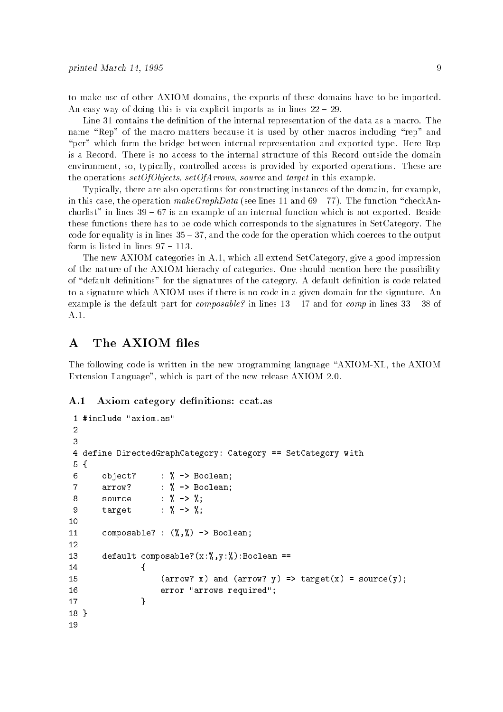to make use of other AXIOM domains, the exports of these domains have to be imported. An easy way of doing this is via explicit imports as in lines  $22 - 29$ .

Line contains the de nition of the internal representation of the data as a macro- The name "Rep" of the macro matters because it is used by other macros including "rep" and per which form the bridge between internal representation and personal representation  $\mathcal{L}_{\mathcal{P}}$ environment so typically controlled access is provided by exported operations- These are the operations setOfObjects, setOfArrows, source and target in this example.

Typically, there are also operations for constructing instances of the domain, for example, in this case the operation makeGraphData see lines and - The function checkAn chorlist in lines is an example of an internal function which is not which is not exported. Besides these functions there has to be code which corresponds to the signatures in SetCategory- The code for equality is in lines  $35 - 37$ , and the code for the operation which coerces to the output form is listed in lines  $97 - 113$ .

The new AXIOM categories in A- which all extend SetCategory give a good impression of the nature of the AXIOM hierachy of categories- One should mention here the possibility of default de nitions for the signatures of the category- A default de nition is code related to a signature which AXIOM uses if there is no code in a given domain for the signuture- An example is the default part for composable-the-main for the distribution of the component in the compo

# A The AXIOM files

The following code is written in the new programming language "AXIOM-XL, the AXIOM Extension Language which is part of the new release AXIOM --

#### $\mathbf{A.1}$ Axiom category definitions: ccat.as

```
4 define DirectedGraphCategory: Category == SetCategory with
 5 {
 6 object? : \% -> Boolean;
 \overline{7}\therefore % -> Boolean;
          arrow?
                           : \% -> \%;
 8
          source
 9 target : \% \rightarrow \%;
          composable? : (\lambda, \lambda) -> Boolean;
1213
          default composable?(x:\mathcal{Y}, y:\mathcal{Y}): Boolean ==
-
 the contract of the contract of the contract of the contract of the contract of the contract of the contract of
                           (\arrow? x) and (\arrow? y) \Rightarrow \text{target}(x) = \text{source}(y);
15
16
                           error "arrows required";
-

-
```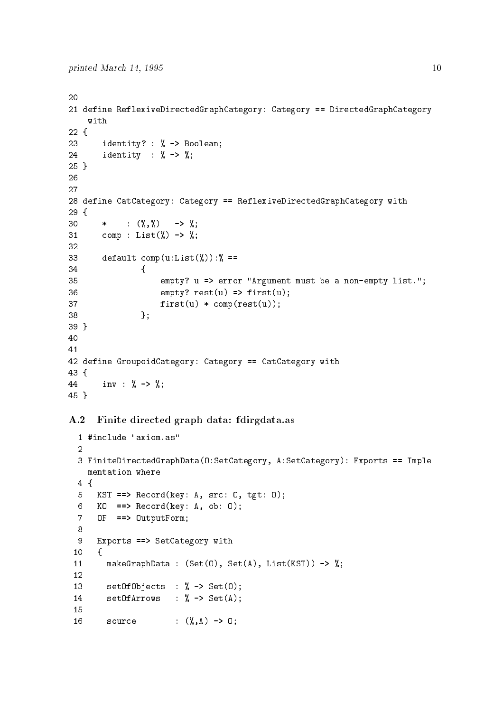```
20
	-
 define ReflexiveDirectedGraphCategory Category  DirectedGraphCategory
      with

23 identity? : % \rightarrow Boolean;
24 identity : \% \rightarrow \%;
25 }

26
27
28 define CatCategory: Category == ReflexiveDirectedGraphCategory with
29 \text{ f}30
                \therefore (\% , \%) -> %;
           \star31
           comp : List(\%) \rightarrow \%;
32
33
           default comp(u:List(%)): % ==the contract of the contract of the contract of the contract of the contract of the contract of the contract of
35 empty? u => error "Argument must be a non-empty list.";
36 empty? \text{rest}(u) \Rightarrow \text{first}(u);37 first(u) * comp(rest(u));\blacksquare . The contract of the contract of the contract of the contract of the contract of the contract of the contract of the contract of the contract of the contract of the contract of the contract of the contract of the 
39}
40
4142 define GroupoidCategory: Category == CatCategory with
43 \text{ } f44 inv : \% \rightarrow \%;
45}
```
# A.2 Finite directed graph data: fdirgdata.as

```
3 FiniteDirectedGraphData(0:SetCategory, A:SetCategory): Exports == Imple
      mentation where
 4fand the contract of the contract of the contract of the contract of the contract of the contract of the contract of the contract of the contract of the contract of the contract of the contract of the contract of the contra
         KST == Record(key: A, src: 0, tgt: 0);
 5<sup>1</sup>\epsilonKO ==> Record(key: A, ob: 0);7 OF ==> OutputForm;
 8
 9 Exports ==> SetCategory with
-
  and the contract of the contract of the contract of the contract of the contract of the contract of the contract of the contract of the contract of the contract of the contract of the contract of the contract of the contra
              makeGraphData : (Set(0), Set(A), List(KST)) \rightarrow %;12
              setOfObjects : % \rightarrow Set(0);13
14 setOfArrows : \frac{9}{6} -> Set(A);
              source : (\lambda, A) \rightarrow 0;
16
```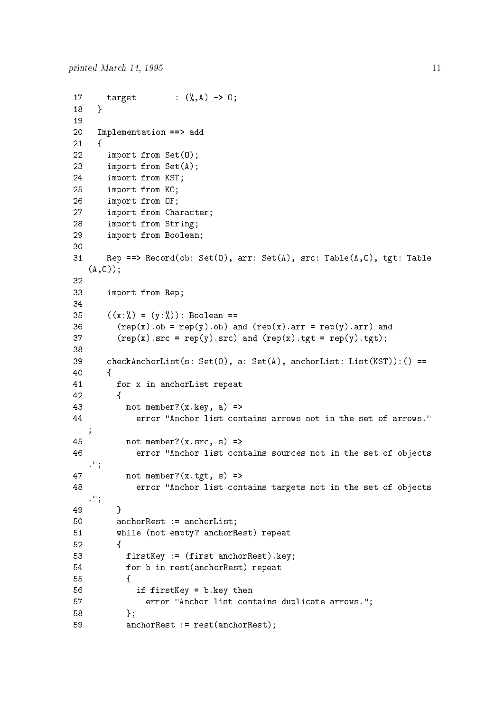```
17
        target : (\gamma, A) \rightarrow 0;
18
     ι

20 Implementation ==> add
21
     €
22
        import from Set(0);23
        import from Set(A);24 import from KST;
	 import from KO
26
        	 import from OF
27
        	 import from Character
28
        	 import from String
	 import from Boolean
30
        Rep ==> Record(ob: Set(0), arr: Set(A), src: Table(A, 0), tgt: Table
31
   (A,0);
32
33 import from Rep;
35
        ((x : \%) = (y : \%): Boolean ==
36 (rep(x).ob = rep(y).ob) and (rep(x).arr = rep(y).arr) and
37 (rep(x).src = rep(y).src) and (rep(x).tgt = rep(y).tgt);
38
39
        checkAnchorList(s: Set(0), a: Set(A), anchorList: List(KST)):() ==
        F

-
           for x in anchorList repeat
42
          \mathbf{f}	 
43
            not member?(x \cdot key, a) =>
 error Anchor list contains arrows not in the set of arrows
   \cdot45 not member?(x.src, s) \Rightarrow46 Example 12 error "Anchor list contains sources not in the set of objects
   \cdot";
47 not member?(x.tgt, s) =>
               error "Anchor list contains targets not in the set of objects
48
   \cdot " ;
49
          ጉ
50 anchorRest := anchorList;
51
          while (not empty? anchorRest) repeat
52
          \mathbf{f}	 
            firstKey := (first anchorRest).key;
53
54 for b in rest (anchorRest) repeat
the contract of the contract of the contract of the contract of the contract of the contract of the contract of
56 if firstKey = b.key then
57 Example 20 Fig. 20 Fig. 20 Fig. 20 Fig. 20 Fig. 20 Fig. 20 Fig. 20 Fig. 20 Fig. 20 Fig. 20 Fig. 20 Fig. 20 Fig. 20 Fig. 20 Fig. 20 Fig. 20 Fig. 20 Fig. 20 Fig. 20 Fig. 20 Fig. 20 Fig. 20 Fig. 20 Fig. 20 Fig. 20 Fig. 20
58 };
59 anchorRest := rest(anchorRest);
```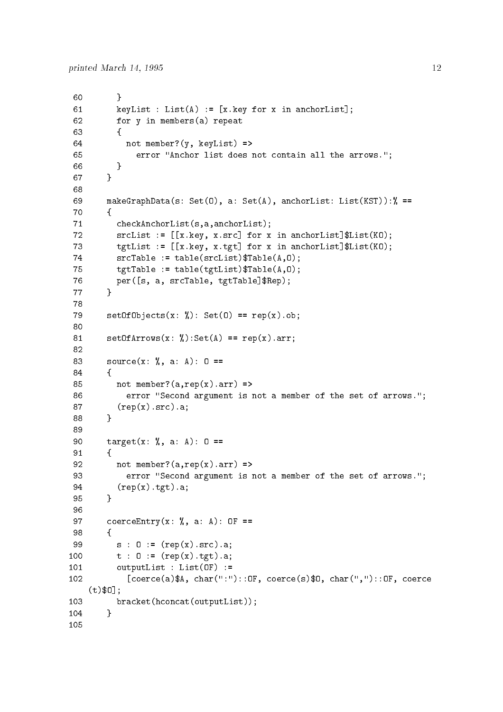```
60 }
 61
          key for your contract in an anchoral state of the second contract of the second contract of the second contract o
 62 for y in members(a) repeat
 63 {
 64 not member? (y, keyList) =>
 65
                      error "Anchor list does not contain all the arrows.";
               \mathbf{r}66
 the contract of the contract of the contract of the contract of the contract of the contract of the contract of
 67 }
 68
 69
            makeGraphData(s: Set(0), a: Set(A), anchorList: List(KST)):% ==70 
               checkAnchorList(s,a,anchorList);71srcuties in an anchoral for x in an anchoral formation of the state of the state of the state of the state of t
 \mathbf{r} for an anchor-List \mathbf{r} for \mathbf{r} and \mathbf{r} and \mathbf{r} and \mathbf{r}74
               srcTable := table(srclist)*Table(A, 0);75 \text{tgtTable} := \text{table}(\text{tgtList})\text{Table}(A,0);per som a srcTable table transformation and the second term of the state of the state of the state of the state 

 79
            setOfObjects(x: %): Set(0) == rep(x).ob;80
 81
            setOfArrows(x: %):Set(A) == rep(x).arr;82
 83
            source(x: %, a: A): 0 ==84
            F

 85 not member? (a, rep(x).arr) \Rightarrow86
                   error "Second argument is not a member of the set of arrows.";
 87
               (rep(x).src).a;ł
 the contract of the contract of the contract of the contract of the contract of the contract of the contract of
 89
 90 target(x: \frac{1}{6}, a: A): 0 ==
 91
            f.
          and the contract of the contract of the contract of the contract of the contract of the contract of the contract of
 92 not member?(a, rep(x).arr) =>
 93 error "Second argument is not a member of the set of arrows.";
 94
               (rep(x).tgt).a;95
            γ
 the contract of the contract of the contract of the contract of the contract of the contract of the contract of
 96
 97 coerceEntry(x: \%, a: A): OF ==
 98
            ſ
 the contract of the contract of the contract of the contract of the contract of the contract of the contract of
 99
               s : 0 := (rep(x).src).a;100
               t : 0 := (rep(x).tgt).a;outputList : List(0F) :=102
                   [coerce(a)$A, char(":")::0F, coerce(s)$0, char(",")::0F, coerce
 a shekarar 1980 haqida qayta tashkil ma'lumot olib tashkil qayta tashkil qayta tashkil qayta tashkil qayta ta
      (t)$0]:
103
               bracket(hconcat(outputList));ι
```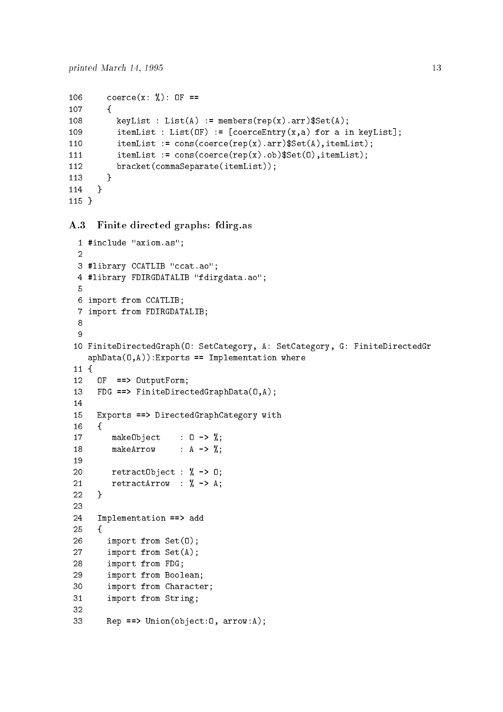--

```
106
           coerce(x: %): OF ==
107
           \mathcal{F} 
              keyList : List(A) := members(rep(x).arr)*Set(A);108
109
 item Liston and the coerce Entry and the coerce Entry and the coerce Entry and the coerce Entry and the coerce
              itemList := cons(coerce(rep(x).arr)\Set(A), itemList);
              itemList := cons(coerce(rep(x).ob)*Set(0), itemList);bracket(commaSeparate(itemList));
112
   the contract of the contract of the contract of the contract of the contract of the contract of the contract of
        \mathcal{F}
```
A.3 Finite directed graphs: fdirg.as

```
- include a second axiomas in the second contract of the second contract of the second contract of the second of the second contract of the second contract of the second contract of the second contract of the second contra
 3 #library CCATLIB "ccat.ao";
 4 #library FDIRGDATALIB "fdirgdata.ao";
 \mathbf{F}6 import from CCATLIB;
  import from FDIRGDATALIB
 8
 9
-
 FiniteDirectedGraphO SetCategory A SetCategory G FiniteDirectedGr
    aphData(0, A)): Exports == Implementation where
-
-

      0F ==> 0utputForm;
12<sub>2</sub>13
      FDG ==> FiniteDirectedGraphData(0,A);
14
15 Exports ==> DirectedGraphCategory with
16
      \mathcal{L}17
          makeObject : 0 \rightarrow \%;
18 makeArrow : A \rightarrow \gamma;
20 return 20 return 20 \n  * 0;21
          retractArrow : \% -> A;
22 \overline{)}\mathbf{r}23
24 Implementation == > add
25
      \mathcal{L}26 import from Set(0);27 import from Set(A);28 import from FDG;
29 import from Boolean;
 import from Character
          import from String
B = P = \text{Union}(\text{object:0, arrow:A)}
```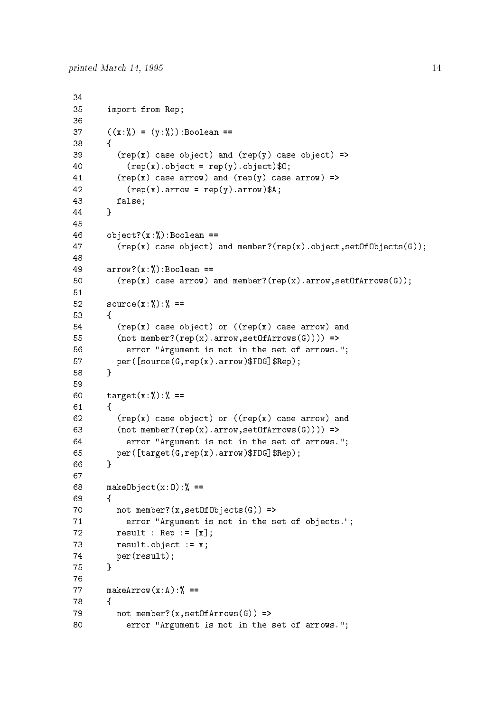```
34
35 import from Rep;
37 ((x:\%) = (y:\%): Boolean ==

39
              r = (rep(x) \text{ case object}) and rep(y) \text{ case object} =>
40
                 r = \text{rep}(x) \cdot \text{object} = \text{rep}(y) \cdot \text{object}(\text{f}(x))41
              r(\text{rep}(x)) case arrow) and (rep(y)) case arrow) =>
42 (rep(x).arrow = rep(y).arrow)*A;43
              false
44
           γ

45
46 object?(x:\mathcal{V}_0): Boolean ==
47 (rep(x) case object) and member?(rep(x).object, setOfObjects(G));
48
49 arrow? (x:\%): Boolean ==
50 (rep(x) \text{ case arrow}) and member?(rep(x) \text{ .arrow}, setOfArrows(G));52 source(x:\%):\% ==53
           ſ
and the contract of the contract of the contract of the contract of the contract of the contract of the contract of
54 (rep(x) case object) or ((rep(x) case arrow) and
55
              (not member?(rep(x).arrow, setOfArrows(G))) >
56
                 error "Argument is not in the set of arrows.";
57
source the set of the person of the set of the set of the set of the set of the set of the set of the set of t
           ł

59
60
          target(x:\%):\% ==61J.
        and the contract of the contract of the contract of the contract of the contract of the contract of the contract of
62 (rep(x) case object) or ((rep(x) case arrow) and
63 (not member?(rep(x).arrow, setOfArrows(G)))) =>
64
                 error "Argument is not in the set of arrows.";
 per
targetGrepxarrowFDGRep
           Υ
66
68
          makeObject(x:0):\text{%} ==69
           \mathcal{L}and the contract of the contract of the contract of the contract of the contract of the contract of the contract of
70
             not member?(x, set0f0bjects(G)) =>
71
                 error "Argument is not in the set of objects.";
72
result is a set of the set of the set of the set of the set of the set of the set of the set of the set of the
73
             result.object := x;74
             per(result);the contract of the contract of the contract of the contract of the contract of the contract of the contract of
76
77 makeArrow(x : A) : X =the contract of the contract of the contract of the contract of the contract of the contract of the contract of
79 not member?(x, setOfArrows(G)) =>
80 error "Argument is not in the set of arrows.";
```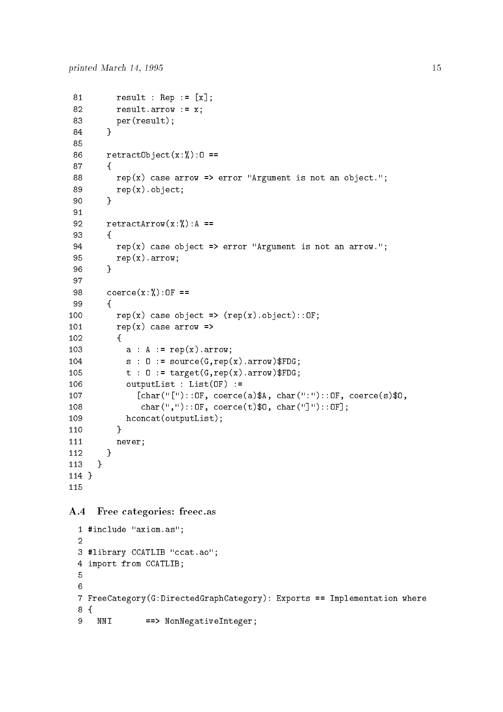```
81
           result in the second contract of the second contract of the second contract of the second contract of the second contract of the second contract of the second contract of the second contract of the second contract of the s
 82 result.arrow := x;83 per(result);
 84 }
 86 retract0bject(x;\mathcal{V}):0 ==
 87
  and the contract of the contract of the contract of the contract of the contract of the contract of the contract of
 88 rep(x) case arrow => error "Argument is not an object.";
 89 rep(x).object;90
              Υ

 91
 92
             retractArrow(x;\text{)}, A ==and the contract of the contract of the contract of the contract of the contract of the contract of the contract of
 94 rep(x) case object \Rightarrow error "Argument is not an arrow.";
 95 rep(x) . arrow;96 }
 97
 98 coerce(x:\%):0F == 
                 rep(x) case object => rep(x).object):OF;100
                 rep(x) case arrow =>
the contract of the contract of the contract of the contract of the contract of the contract of the contract o
103
                     a : A := \text{rep}(x) \text{ .} \text{arrow};104
                     s : 0 := source(G, rep(x).arrow)$FDG;
105
                     t : 0 := target(G, rep(x).arrow)$FDG;
106
                     outputList : List(OF) :=
107

                           chard of coerceach coerceach coerceach coerceaCharOF coerce and coerce a charaCharOF coerce and coerce a chara
108
                          char(","):: OF, coerce(t)$0, char("]"):: OF];
109
                     hconcat(outputList);
   the contract of the contract of the contract of the contract of the contract of the contract of the contract of
                  never
-
-

          \mathcal{F}-
-

115
```
### A Free categories freecas

```
- include a second axiomas in the second contract of the second contract of the second contract of the second of the second contract of the second contract of the second contract of the second contract of the second contra
3 #library CCATLIB "ccat.ao";
4 import from CCATLIB;
6
7 FreeCategory (G:DirectedGraphCategory): Exports == Implementation where
8 {
       NNI ==> NonNegativeInteger;
9
```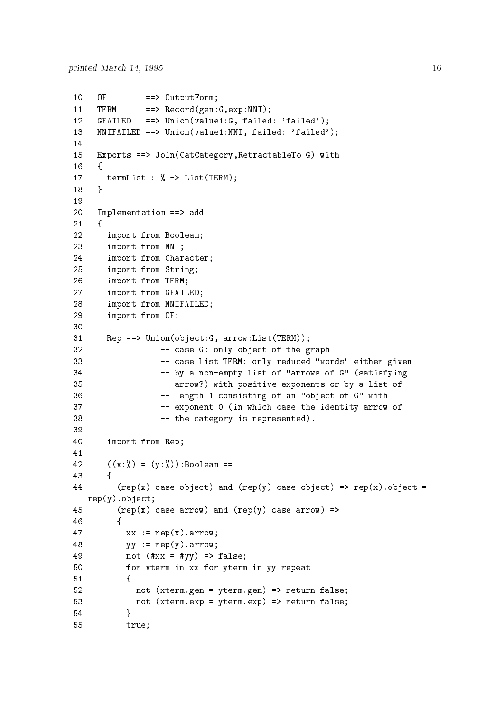```
10
     OF ==> OutputForm;
     TERM ==> Record(gen:G,exp:NNI);
12
 geraal die gebeure van die die die die gebeure was die gebeure van die gebeure van die gebeure van die gebeure
13
 NNIFAILED  Unionvalue-distribution-distribution-distribution-distribution-distribution-distribution-distributio
15
     Exports ==> Join(CatCategory, RetractableTo G) with
16
     \mathcal{L}17
       termList : \% -> List(TERM);
     \mathbf{r}18

19
20
     Implementation == add
21\mathcal{F}		 import from Boolean
23 import from NNI;
24
       	 import from Character
25 import from String;
	 import from TERM
	 import from GFAILED
28 import from NNIFAILED;
29 import from OF;
30
31
       Rep == Union(object:G, arrow:List(TERM));
32
                   -- case G: only object of the graph
33
                   -- case List TERM: only reduced "words" either given
34 The by a non-empty list of "arrows of G" (satisfying
35 120 T -- arrow?) with positive exponents or by a list of
36
length - consisting of an object of an object of \alpha37
                   - exponent 0 (in which case the identity arrow of
38 -- the category is represented).
39
 import from Rep
41
42
       ((x : %) = (y : %)):Boolean ==
       £

44
         r = (rep(x) \text{ case object}) and rep(y) \text{ case object} = (rep(x) \text{ object})rep(y).object;
45 (rep(x) case arrow) and (rep(y) case arrow) =>

47
           xx := rep(x) . arrow;48
           yy := rep(y) .arrow;49
           not (**xx = #yy) => false;
 for xterm in xx for yterm in yy repeat
51
      and the contract of the contract of the contract of the contract of the contract of the contract of the contract of
52 not (xterm.gen = yterm.gen) => return false;
53 \ldots not (xterm.exp = yterm.exp) => return false;

55 true;
```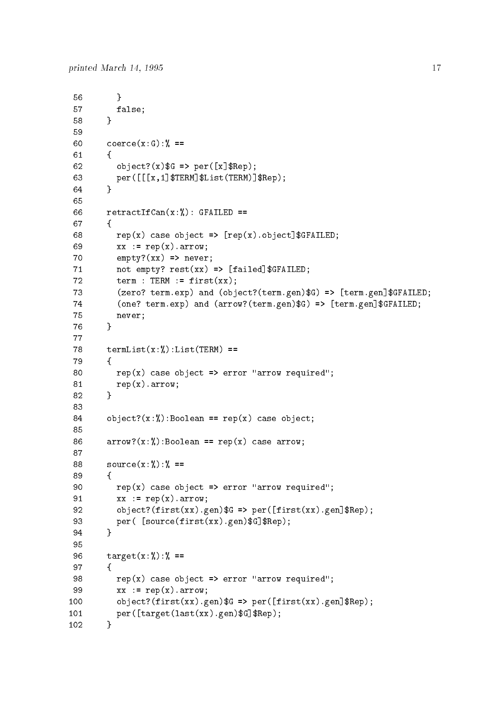```
56 }
 57 false;

 59
  coercexG 
 61and the contract of the contract of the contract of the contract of the contract of the contract of the contract of
 62
 \mathbf{R} and \mathbf{R} are performed to the contract of the contract of the contract of the contract of the contract of the contract of the contract of the contract of the contract of the contract of the contract of the co
 representation in the contract of the contract of the contract of the contract of the contract of the contract of the contract of the contract of the contract of the contract of the contract of the contract of the contract
             γ
 64
 65
 66
             retractIfCan(x;\text{%}): GFAILED ==
 67
             \mathcal{L} 
 representative and the case of the case of the case of the case of the case of the case of the case of the cas
 69 xx := rep(x) . arrow;70 empty?(xx) \Rightarrow never;-
          not empty restaurant and control of the control of the control of the control of the control of the control of
 72 term : TERM := first(xx);
 re terms term and object the second company of the contract of the contract of the contract of the contract of
 terman terms and the second term \alpha and \alpha arrow \alpha . The second term is the second term in the second term in the second term in the second term in the second term in the second term in the second term in the second
 75 never;
 76 }
 77
             termList(x;\textbf{W}):List(TERM) ==78
 79
             \mathcal{L} 
 80 rep(x) case object = > error "arrow required";
                rep(x).arrow;81
 82
             γ

 83
 84 object?(x:\mathcal{V}): Boolean == rep(x) case object;
 85
 86 arrow?(x:\mathcal{V}): Boolean == rep(x) case arrow;
 88 source(x:\%):\% ==89
             £.
 90
                rep(x) case object => error "arrow required";
 91
                xx := rep(x).arrow;objectfirst the contract of the contract of the contract of the contract of the contract of the contract of the contract of the contract of the contract of the contract of the contract of the contract of the contract of t
  per 
sourcefirstxxgenGRep
 94
             ł.

 95
 96 t = \text{target}(x : \%) : \% =97 {
 98 rep(x) case object = > error "arrow required";
 99 xx := rep(x) . arrow;100
 objectfirsta \mathcal{L} , and the contract \mathcal{L} is a periodic set of \mathcal{L} . In the contract of \mathcal{L}per var en geneemde verskilde op de geneemde gebouwen.
-- - -
```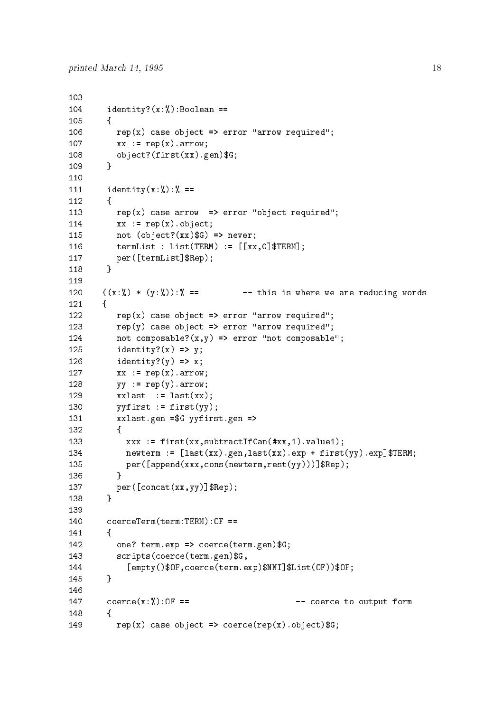```
104
             identity?(x;\text{%}):Boolean ==-

106
                rep(x) case object => error "arrow required";
107
                xx := rep(x) . arrow;108
                object?(first(xx).gen)*G;109
             ł
 the contract of the contract of the contract of the contract of the contract of the contract of the contract of
             identity(x:\%) : \% ==
112
             f.
   the contract of the contract of the contract of the contract of the contract of the contract of the contract of
113
                rep(x) case arrow => error "object required";
114
                xx := rep(x).object;
                not (object?(xx)$G) => never;
   termulated and the contract of the contract of the contract of the contract of the contract of the contract of
   term in the state of the state of the state of the state of the state of the state of the state of the state of
-
-

120 ((x:\%) * (y:\%) : \%) == -- this is where we are reducing words
            ſ.

122
                rep(x) case object => error "arrow required";
123
                rep(y) case object => error "arrow required";
124
                not composable?(x,y) \Rightarrow error "not composable";
125
                identity?(x) \Rightarrow y;126
                identity?(y) \Rightarrow x;127
                xx := rep(x) . arrow;128
                yy := rep(y) .arrow;129
                xxlast := last(xx):130
                yyfirst := first(yy);xxlast.gen =G yyfirst.gen =>
132
 and the contract of the contract of the contract of the contract of the contract of the contract of the contract of
133
 value - value- value- value- value- value- value- value- value- value- value- value- value- value- v
134
  newterm  
lastxxgenlastxxexp ! firstyyexpTERM
135
 per appendixxx de la constant de la constant de la constant de la constant de la constant de la constant de la
                \mathbf{r} 
137
 representative concerns the concerns of the concerns of the concerns of the concerns of the concerns of the concerns of the concerns of the concerns of the concerns of the concerns of the concerns of the concerns of the co
138
             Υ
 the contract of the contract of the contract of the contract of the contract of the contract of the contract of
140
             coercererm(term:TERM):0F =141
             \mathcal{L} 
142
                one? term.exp => coerce(term.gen)G;
                scripts(coerce(term.gen)$G,
143
144
                     [empty()$OF, coerce(term.exp)$NNI]$List(OF))$OF;
 a shekarar 1980 haqida qayta tashkil ma'lumot olib tashkil qayta tashkil qayta tashkil qayta tashkil qayta ta
145
 the contract of the contract of the contract of the contract of the contract of the contract of the contract of
146
147
             coerce(x;\text{)}, 0F == -- coerce to output form
             £.
-

149
                rep(x) case object => coerce(rep(x).object)$G;
```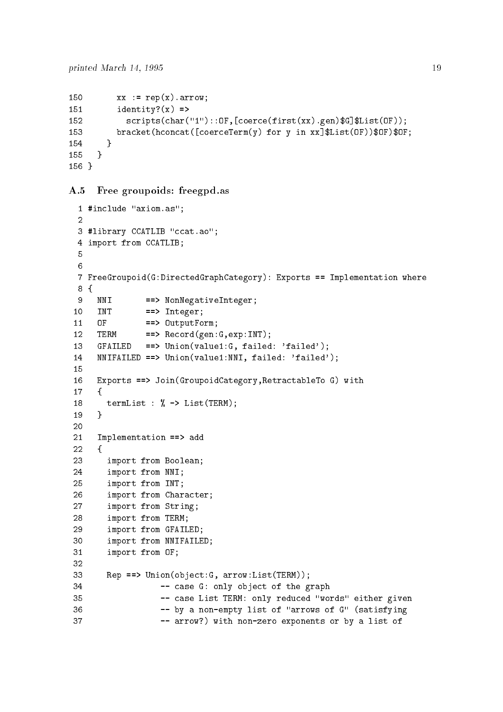```
150
           xx := rep(x) . arrow;identity?(x) =>
152
 scriptschare (Coercefirstate (Coercefirst Coercefirst Coercefirst
153
 brackethconcatethconcatethconcatethconcatethconcatethconcatethconcatethconcatethconcatethconcatethconcatethcon
-

155
      \mathbf{r}___
156 }
```
# A.5 Free groupoids: freegpd.as

```
- include a second axiomas in the second contract of the second contract of the second contract of the second o
 3 #library CCATLIB "ccat.ao";
 4 import from CCATLIB;
 \epsilon7 FreeGroupoid(G:DirectedGraphCategory): Exports == Implementation where
 8<sup>2</sup>\overline{9}NNI ==> NonNegativeInteger;
10<sup>1</sup>TNT
                    \Rightarrow Integer;
                    \Rightarrow OutputForm;
110F12<sup>2</sup>TERM ==> Record(gen:G,exp:INT);
13
 affailed failed failed failed failed failed failed failed failed failed failed failed failed failed failed fai
14
 nniferant in the second company of the second company of \mathcal{C}15
      Exports ==> Join(GroupoidCategory, RetractableTo G) with
1617
      \mathcal{F}and the contract of the contract of the contract of the contract of the contract of the contract of the contract of the contract of the contract of the contract of the contract of the contract of the contract of the contra
18
        termList : \% -> List(TERM);

20
21
      Implementation ==> add

23 import from Boolean;
24
         	 import from NNI
25 import from INT;
	 import from Character
27
         	 import from String
	 import from TERM
	 import from GFAILED
 import from NNIFAILED
          import from OF
31
32
Rep == Union(object:G, arrow:List(TERM));
34 -- case G: only object of the graph
35 The Case List TERM: only reduced "words" either given
36 The by a non-empty list of "arrows of G" (satisfying
37 arrow -- arrow?) with non-zero exponents or by a list of
```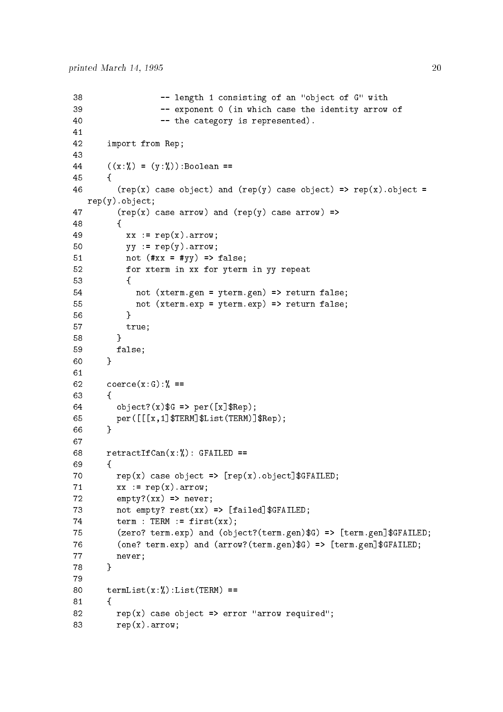```
length \mathbf{M}39 Exponent 0 (in which case the identity arrow of
40 -- the category is represented).
-
	 import from Rep
43
44
          ((x : \%) = (y : \%): Boolean ==
45
          \mathcal{L}and the contract of the contract of the contract of the contract of the contract of the contract of the contract of
46 (rep(x) case object) and (rep(y) case object) => rep(x). object =
    rep(y).object;
47
             r(\text{rep}(x)) case arrow) and (rep(y)) case arrow) =>
48
             \mathcal{L} 
49 xx := rep(x) . arrow;50 yy := rep(y) . arrow;51
                not (\#xx = #yy) \Rightarrow false;	 for xterm in xx for yterm in yy repeat
53 \qquad \qquad \{54 not (xterm.gen = yterm.gen) => return false;
55 mot (xterm.exp = yterm.exp) => return false;
56
                \mathcal{F}the contract of the contract of the contract of the contract of the contract of the contract of the contract of
57 true;
the contract of the contract of the contract of the contract of the contract of the contract of the contract of
59
              false
60
          \mathbf{r} 
61
62 coerce(x:G): % =63
          \mathcal{L} 
64
 objectxG  per
xRep
representation in the contract of the contract of the contract of the contract of the contract of the contract of the contract of the contract of the contract of the contract of the contract of the contract of the contract
the contract of the contract of the contract of the contract of the contract of the contract of the contract of
68 retractIfCan(x;\mathcal{V}_s): GFAILED ==
69
represented the contract of the contract of the contract of the contract of the contract of the contract of the
71xx := rep(x).arrow;72
             empty?(xx) => never;
not empty restrict that the contribution \mathbf{f} and \mathbf{f} are contribution of \mathbf{f}74 term : TERM := first(xx);
75
t and objective and objective t and objective t and object the contribution of t76
terman terms and the second term \alpha and \alpha is the second term of \alpha77 never
the contract of the contract of the contract of the contract of the contract of the contract of the contract of
79
80 termList(x;\lambda):List(TERM) ==
81

82 rep(x) case object \Rightarrow error "arrow required";
83 rep(x) . arrow;
```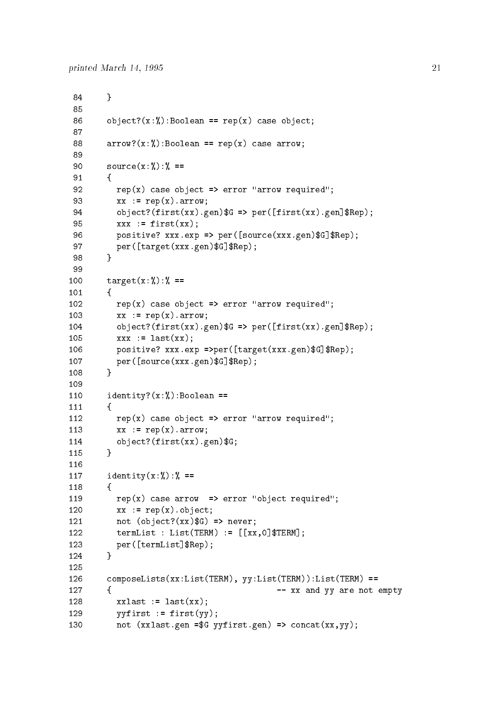```
the contract of the contract of the contract of the contract of the contract of the contract of the contract of
 86 object?(x:\mathcal{V}): Boolean == rep(x) case object;
 87
 88 arrow?(x:\mathcal{K}): Boolean == rep(x) case arrow;
 89
 90
             source(x:\%):\% ==91
             \left\{ \right. 
 92 rep(x) case object \Rightarrow error "arrow required";
 93
                xx := rep(x) . arrow;94
 objective and the set of the set of the set of the set of the set of the set of the set of the set of the set o
                xxx := first(xx);95
 positive xxxexp  per and the contract the contract of the contract of the contract of the contract of the contract of the contract of the contract of the contract of the contract of the contract of the contract of the cont
 targetxx is a start of the start of the start of the start of the start of the start of the start of the start of the start of the start of the start of the start of the start of the start of the start of the start of the 
 98
             γ

 99
100
             target(x:\%):\% ==\mathcal{L}and the contract of the contract of the contract of the contract of the contract of the contract of the contract of
102
                rep(x) case object => error "arrow required";
103
                xx := rep(x) . arrow;104
 objective and the set of the set of the set of the set of the set of the set of the set of the set of the set o
105
                xxx := last(xx);106
 positive xxxexp per targetxxx and the set of the set of the set of the set of the set of the set of the set of
107
  per
sourcexxxgenGRep
             λ
-

110
             identity?(x;\textbf{W}):Boolean ==111\mathcal{L}and the contract of the contract of the contract of the contract of the contract of the contract of the contract of
                rep(x) case object => error "arrow required";
                xx := rep(x) . arrow;object?(first(xx).gen)*G; 
             identity(x;\mathcal{V}): ==
118
             \mathcal{L}the contract of the contract of the contract of the contract of the contract of the contract of the contract of
119
                rep(x) case arrow => error "object required";
120
                xx := rep(x).object;
                not (object?(xx)$G) => never;
122
 terms of the contract L and L and L and L and L and L and L and L123
 terman terms in the personal personal personal personal personal personal personal personal personal personal p
124
             ł.
 ___
126
             composedlists(xx:List(TERM), yy:List(TERM)):List(TERM) ==127
             	   xx and yy are not empty
128
                xxlast := last(xx);129
                yyfirst := first(yy);130
                not (xxlast.get = $G yyfirst.get) => concat(xx,yy);
```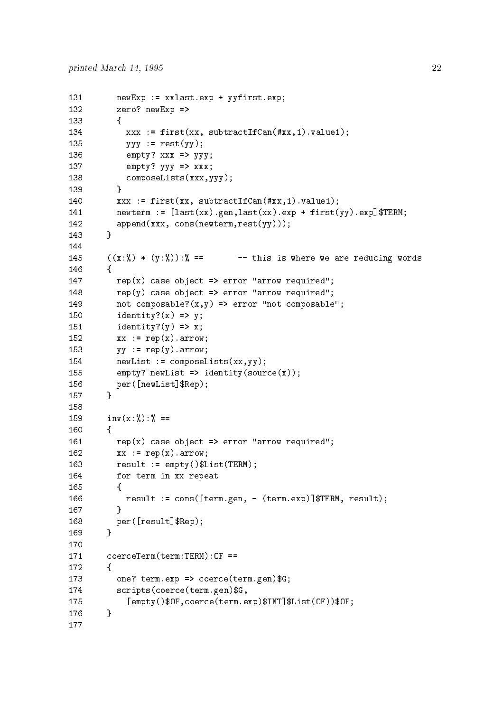```
newExp := xxlast.exp + yyfirst.exp;132
                zero? newExp =-

134
 \mathcal{N} = \mathcal{N} = \mathcal{N} = \mathcal{N} = \mathcal{N} = \mathcal{N} = \mathcal{N} = \mathcal{N} = \mathcal{N} = \mathcal{N} = \mathcal{N} = \mathcal{N} = \mathcal{N} = \mathcal{N} = \mathcal{N} = \mathcal{N} = \mathcal{N} = \mathcal{N} = \mathcal{N} = \mathcal{N} = \mathcal{N} = \mathcal{N} = \mathcal{N} = \mathcal{N} = \mathcal{N} = \mathcal{N} = \mathcal{N} = \mathcal{N} = \mathcal{N} = \mathcal{N} = \mathcal{N} = \mathcal135
                    yyy := \text{rest}(yy);
136
                    empty? xxx => yyy;137
                    empty? yyy \Rightarrow xxx;
138
                    composeLists(xxx,yyy);
139

140
 \mathcal{N} first subtractIfCanx subtractIfCanx subtractIfCanx subtractIfCanx subtractIfCanx subtractIfCanx
141
          newth in the contract of the contract of the contract of the contract of the contract of the contract of the c
142
                append(xxx, cons(newterm,rest(yy)));
143
 the contract of the contract of the contract of the contract of the contract of the contract of the contract of
144
145
             ((x : \%) * (y : \%) : \mathcal{U} == -- this is where we are reducing words
-

147
                rep(x) case object => error "arrow required";
148 rep(y) case object => error "arrow required";
149
                not composable?(x, y) => error "not composable";
150
                identity?(x) \Rightarrow y;identity?(y) \Rightarrow x;152
                xx := rep(x) . arrow;153
                yy := rep(y) . arrow;154
                newList := composelists(xx, yy);155
                empty? newList => identity(source(x));
156
 new List Report of the Contract of the Contract of the Contract of the Contract of the Contract of the Contract of
157
             γ

158
             inv(x;\lambda) : \lambda ==159
160
             \mathcal{L}and the contract of the contract of the contract of the contract of the contract of the contract of the contract of
                rep(x) case object => error "arrow required";
162
                xx := rep(x) . arrow;163
                result := empty() $List(TERM) ;164
                 for term in xx repeat
165
                 \mathcal{L}the contract of the contract of the contract of the contract of the contract of the contract of the contract of
166
 result in the construction of the construction of the construction of the construction of the construction of t
                 ,
-

168
  per
resultRep
169
             ł.

170coercererm(term:TERM):OF =171
172
 and the contract of the contract of the contract of the contract of the contract of the contract of the contract of
173
                one? term.exp => coerce(term.gen)G;
174
                 scripts(coerce(term.gen)G,[empty()$OF, coerce(term.exp)$INT]$List(OF))$OF;
-
```